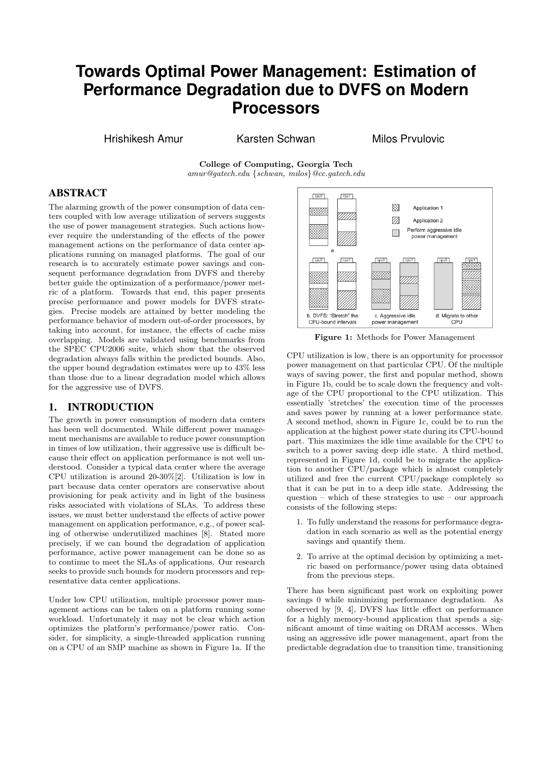# **Towards Optimal Power Management: Estimation of Performance Degradation due to DVFS on Modern Processors**

Hrishikesh Amur Karsten Schwan Milos Prvulovic

College of Computing, Georgia Tech amur@gatech.edu {schwan, milos}@cc.gatech.edu

## ABSTRACT

The alarming growth of the power consumption of data centers coupled with low average utilization of servers suggests the use of power management strategies. Such actions however require the understanding of the effects of the power management actions on the performance of data center applications running on managed platforms. The goal of our research is to accurately estimate power savings and consequent performance degradation from DVFS and thereby better guide the optimization of a performance/power metric of a platform. Towards that end, this paper presents precise performance and power models for DVFS strategies. Precise models are attained by better modeling the performance behavior of modern out-of-order processors, by taking into account, for instance, the effects of cache miss overlapping. Models are validated using benchmarks from the SPEC CPU2006 suite, which show that the observed degradation always falls within the predicted bounds. Also, the upper bound degradation estimates were up to 43% less than those due to a linear degradation model which allows for the aggressive use of DVFS.

## 1. INTRODUCTION

The growth in power consumption of modern data centers has been well documented. While different power management mechanisms are available to reduce power consumption in times of low utilization, their aggressive use is difficult because their effect on application performance is not well understood. Consider a typical data center where the average CPU utilization is around 20-30%[2]. Utilization is low in part because data center operators are conservative about provisioning for peak activity and in light of the business risks associated with violations of SLAs. To address these issues, we must better understand the effects of active power management on application performance, e.g., of power scaling of otherwise underutilized machines [8]. Stated more precisely, if we can bound the degradation of application performance, active power management can be done so as to continue to meet the SLAs of applications. Our research seeks to provide such bounds for modern processors and representative data center applications.

Under low CPU utilization, multiple processor power management actions can be taken on a platform running some workload. Unfortunately it may not be clear which action optimizes the platform's performance/power ratio. Consider, for simplicity, a single-threaded application running on a CPU of an SMP machine as shown in Figure 1a. If the



Figure 1: Methods for Power Management

CPU utilization is low, there is an opportunity for processor power management on that particular CPU. Of the multiple ways of saving power, the first and popular method, shown in Figure 1b, could be to scale down the frequency and voltage of the CPU proportional to the CPU utilization. This essentially 'stretches' the execution time of the processes and saves power by running at a lower performance state. A second method, shown in Figure 1c, could be to run the application at the highest power state during its CPU-bound part. This maximizes the idle time available for the CPU to switch to a power saving deep idle state. A third method, represented in Figure 1d, could be to migrate the application to another CPU/package which is almost completely utilized and free the current CPU/package completely so that it can be put in to a deep idle state. Addressing the question – which of these strategies to use – our approach consists of the following steps:

- 1. To fully understand the reasons for performance degradation in each scenario as well as the potential energy savings and quantify them.
- 2. To arrive at the optimal decision by optimizing a metric based on performance/power using data obtained from the previous steps.

There has been significant past work on exploiting power savings 0 while minimizing performance degradation. As observed by [9, 4], DVFS has little effect on performance for a highly memory-bound application that spends a significant amount of time waiting on DRAM accesses. When using an aggressive idle power management, apart from the predictable degradation due to transition time, transitioning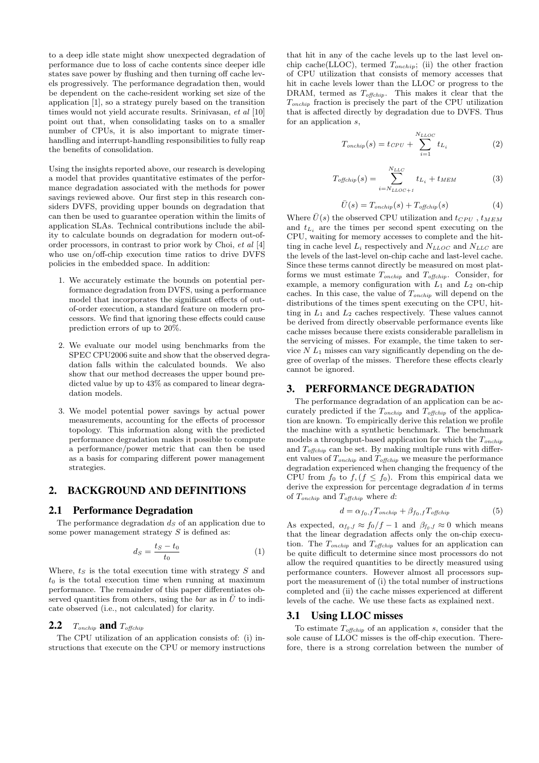to a deep idle state might show unexpected degradation of performance due to loss of cache contents since deeper idle states save power by flushing and then turning off cache levels progressively. The performance degradation then, would be dependent on the cache-resident working set size of the application [1], so a strategy purely based on the transition times would not yield accurate results. Srinivasan, et al [10] point out that, when consolidating tasks on to a smaller number of CPUs, it is also important to migrate timerhandling and interrupt-handling responsibilities to fully reap the benefits of consolidation.

Using the insights reported above, our research is developing a model that provides quantitative estimates of the performance degradation associated with the methods for power savings reviewed above. Our first step in this research considers DVFS, providing upper bounds on degradation that can then be used to guarantee operation within the limits of application SLAs. Technical contributions include the ability to calculate bounds on degradation for modern out-oforder processors, in contrast to prior work by Choi, et al [4] who use on/off-chip execution time ratios to drive DVFS policies in the embedded space. In addition:

- 1. We accurately estimate the bounds on potential performance degradation from DVFS, using a performance model that incorporates the significant effects of outof-order execution, a standard feature on modern processors. We find that ignoring these effects could cause prediction errors of up to 20%.
- 2. We evaluate our model using benchmarks from the SPEC CPU2006 suite and show that the observed degradation falls within the calculated bounds. We also show that our method decreases the upper bound predicted value by up to 43% as compared to linear degradation models.
- 3. We model potential power savings by actual power measurements, accounting for the effects of processor topology. This information along with the predicted performance degradation makes it possible to compute a performance/power metric that can then be used as a basis for comparing different power management strategies.

## 2. BACKGROUND AND DEFINITIONS

#### 2.1 Performance Degradation

The performance degradation  $d<sub>S</sub>$  of an application due to some power management strategy  $S$  is defined as:

$$
d_S = \frac{t_S - t_0}{t_0} \tag{1}
$$

Where,  $ts$  is the total execution time with strategy  $S$  and  $t_0$  is the total execution time when running at maximum performance. The remainder of this paper differentiates observed quantities from others, using the  $bar$  as in  $U$  to indicate observed (i.e., not calculated) for clarity.

#### **2.2**  $T_{onchip}$  and  $T_{offchip}$

The CPU utilization of an application consists of: (i) instructions that execute on the CPU or memory instructions

that hit in any of the cache levels up to the last level onchip cache(LLOC), termed  $T_{onchip}$ ; (ii) the other fraction of CPU utilization that consists of memory accesses that hit in cache levels lower than the LLOC or progress to the DRAM, termed as  $T_{offchip}$ . This makes it clear that the Tonchip fraction is precisely the part of the CPU utilization that is affected directly by degradation due to DVFS. Thus for an application s,

$$
T_{onchip}(s) = t_{CPU} + \sum_{i=1}^{N_{LLOC}} t_{L_i}
$$
\n(2)

$$
T_{offchip}(s) = \sum_{i=N_{LLOC+1}}^{N_{LLC}} t_{L_i} + t_{MEM}
$$
 (3)

$$
\bar{U}(s) = T_{onchip}(s) + T_{offchip}(s)
$$
\n(4)

Where  $\bar{U}(s)$  the observed CPU utilization and  $t_{CPU}$ ,  $t_{MEM}$ and  $t_{L_i}$  are the times per second spent executing on the CPU, waiting for memory accesses to complete and the hitting in cache level  $L_i$  respectively and  $N_{LLOC}$  and  $N_{LLC}$  are the levels of the last-level on-chip cache and last-level cache. Since these terms cannot directly be measured on most platforms we must estimate  $T_{onchip}$  and  $T_{offchip}$ . Consider, for example, a memory configuration with  $L_1$  and  $L_2$  on-chip caches. In this case, the value of  $T_{onchip}$  will depend on the distributions of the times spent executing on the CPU, hitting in  $L_1$  and  $L_2$  caches respectively. These values cannot be derived from directly observable performance events like cache misses because there exists considerable parallelism in the servicing of misses. For example, the time taken to service  $N L_1$  misses can vary significantly depending on the degree of overlap of the misses. Therefore these effects clearly cannot be ignored.

#### 3. PERFORMANCE DEGRADATION

The performance degradation of an application can be accurately predicted if the  $T_{onchip}$  and  $T_{offchip}$  of the application are known. To empirically derive this relation we profile the machine with a synthetic benchmark. The benchmark models a throughput-based application for which the  $T_{onchip}$ and  $T_{offchip}$  can be set. By making multiple runs with different values of  $T_{onchip}$  and  $T_{offchip}$  we measure the performance degradation experienced when changing the frequency of the CPU from  $f_0$  to  $f$ ,  $(f \leq f_0)$ . From this empirical data we derive the expression for percentage degradation d in terms of  $T_{onchip}$  and  $T_{offchip}$  where d:

$$
d = \alpha_{f_0, f} T_{onchip} + \beta_{f_0, f} T_{offchip} \tag{5}
$$

As expected,  $\alpha_{f_0,f} \approx f_0/f - 1$  and  $\beta_{f_0,f} \approx 0$  which means that the linear degradation affects only the on-chip execution. The  $T_{onchip}$  and  $T_{offchip}$  values for an application can be quite difficult to determine since most processors do not allow the required quantities to be directly measured using performance counters. However almost all processors support the measurement of (i) the total number of instructions completed and (ii) the cache misses experienced at different levels of the cache. We use these facts as explained next.

#### 3.1 Using LLOC misses

To estimate  $T_{\text{offchip}}$  of an application s, consider that the sole cause of LLOC misses is the off-chip execution. Therefore, there is a strong correlation between the number of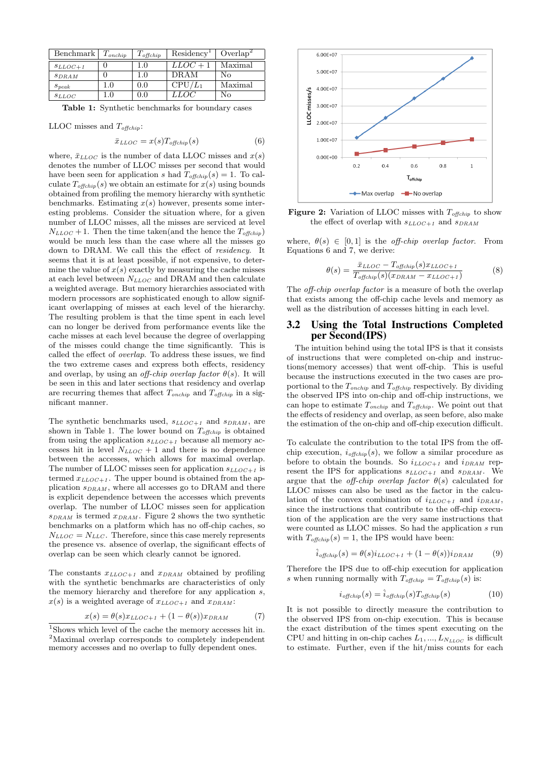| Benchmark      | $T_{onchip}$ | $T_{\mathit{offchip}}$ | Residency <sup>1</sup> | $Overlap^2$ |
|----------------|--------------|------------------------|------------------------|-------------|
| $SLLOC + 1$    |              | 1.0                    | $LLOC + 1$             | Maximal     |
| SDRAM          |              | 1.0                    | <b>DRAM</b>            | No          |
| $S_{\it peak}$ | 1.0          | 0.0                    | $CPU/L_1$              | Maximal     |
| SLLOC          |              | $0.0\,$                | LOC                    | Nο          |

Table 1: Synthetic benchmarks for boundary cases

LLOC misses and  $T_{\text{offchip}}$ :

$$
\bar{x}_{LLOC} = x(s) T_{offchip}(s) \tag{6}
$$

where,  $\bar{x}_{LLOC}$  is the number of data LLOC misses and  $x(s)$ denotes the number of LLOC misses per second that would have been seen for application s had  $T_{offchip}(s) = 1$ . To calculate  $T_{offchip}(s)$  we obtain an estimate for  $x(s)$  using bounds obtained from profiling the memory hierarchy with synthetic benchmarks. Estimating  $x(s)$  however, presents some interesting problems. Consider the situation where, for a given number of LLOC misses, all the misses are serviced at level  $N_{LLOC} + 1$ . Then the time taken(and the hence the  $T_{offchip}$ ) would be much less than the case where all the misses go down to DRAM. We call this the effect of residency. It seems that it is at least possible, if not expensive, to determine the value of  $x(s)$  exactly by measuring the cache misses at each level between  $N_{LLOC}$  and DRAM and then calculate a weighted average. But memory hierarchies associated with modern processors are sophisticated enough to allow significant overlapping of misses at each level of the hierarchy. The resulting problem is that the time spent in each level can no longer be derived from performance events like the cache misses at each level because the degree of overlapping of the misses could change the time significantly. This is called the effect of overlap. To address these issues, we find the two extreme cases and express both effects, residency and overlap, by using an *off-chip overlap factor*  $\theta(s)$ . It will be seen in this and later sections that residency and overlap are recurring themes that affect  $T_{onchip}$  and  $T_{offchip}$  in a significant manner.

The synthetic benchmarks used,  $s_{LLOC+1}$  and  $s_{DRAM}$ , are shown in Table 1. The lower bound on  $T_{offchip}$  is obtained from using the application  $s_{LLOC+1}$  because all memory accesses hit in level  $N_{LLOC} + 1$  and there is no dependence between the accesses, which allows for maximal overlap. The number of LLOC misses seen for application  $s_{LLOC+1}$  is termed  $x_{LLOC+1}$ . The upper bound is obtained from the application  $s_{DRAM}$ , where all accesses go to DRAM and there is explicit dependence between the accesses which prevents overlap. The number of LLOC misses seen for application  $s_{DRAM}$  is termed  $x_{DRAM}$ . Figure 2 shows the two synthetic benchmarks on a platform which has no off-chip caches, so  $N_{LLOC} = N_{LLC}$ . Therefore, since this case merely represents the presence vs. absence of overlap, the significant effects of overlap can be seen which clearly cannot be ignored.

The constants  $x_{LLOC+1}$  and  $x_{DRAM}$  obtained by profiling with the synthetic benchmarks are characteristics of only the memory hierarchy and therefore for any application s,  $x(s)$  is a weighted average of  $x_{LLOC+1}$  and  $x_{DRAM}$ :

$$
x(s) = \theta(s)x_{LLOC+1} + (1 - \theta(s))x_{DRAM}
$$
 (7)



Figure 2: Variation of LLOC misses with  $T_{offchip}$  to show the effect of overlap with  $s_{LLOC+1}$  and  $s_{DRAM}$ 

where,  $\theta(s) \in [0, 1]$  is the *off-chip overlap factor*. From Equations 6 and 7, we derive:

$$
\theta(s) = \frac{\bar{x}_{LLOC} - T_{offchip}(s)x_{LLOC+1}}{T_{offchip}(s)(x_{DRAM} - x_{LLOC+1})}
$$
(8)

The *off-chip overlap factor* is a measure of both the overlap that exists among the off-chip cache levels and memory as well as the distribution of accesses hitting in each level.

## 3.2 Using the Total Instructions Completed per Second(IPS)

The intuition behind using the total IPS is that it consists of instructions that were completed on-chip and instructions(memory accesses) that went off-chip. This is useful because the instructions executed in the two cases are proportional to the  $T_{onchip}$  and  $T_{offchip}$  respectively. By dividing the observed IPS into on-chip and off-chip instructions, we can hope to estimate  $T_{onchip}$  and  $T_{offchip}$ . We point out that the effects of residency and overlap, as seen before, also make the estimation of the on-chip and off-chip execution difficult.

To calculate the contribution to the total IPS from the offchip execution,  $i_{offchin}(s)$ , we follow a similar procedure as before to obtain the bounds. So  $i_{LLOC+1}$  and  $i_{DRAM}$  represent the IPS for applications  $s_{LLOC+1}$  and  $s_{DRAM}$ . We argue that the *off-chip overlap factor*  $\theta(s)$  calculated for LLOC misses can also be used as the factor in the calculation of the convex combination of  $i_{LLOC+1}$  and  $i_{DRAM}$ , since the instructions that contribute to the off-chip execution of the application are the very same instructions that were counted as LLOC misses. So had the application s run with  $T_{offchip}(s) = 1$ , the IPS would have been:

$$
\hat{i}_{offchip}(s) = \theta(s)i_{LLOC+1} + (1 - \theta(s))i_{DRAM}
$$
 (9)

Therefore the IPS due to off-chip execution for application s when running normally with  $T_{offchip} = T_{offchip}(s)$  is:

$$
i_{offchip}(s) = \hat{i}_{offchip}(s)T_{offchip}(s)
$$
\n(10)

It is not possible to directly measure the contribution to the observed IPS from on-chip execution. This is because the exact distribution of the times spent executing on the CPU and hitting in on-chip caches  $L_1, ..., L_{N_{LLOC}}$  is difficult to estimate. Further, even if the hit/miss counts for each

 $^1\rm{Shows}$  which level of the cache the memory accesses hit in. <sup>2</sup>Maximal overlap corresponds to completely independent memory accesses and no overlap to fully dependent ones.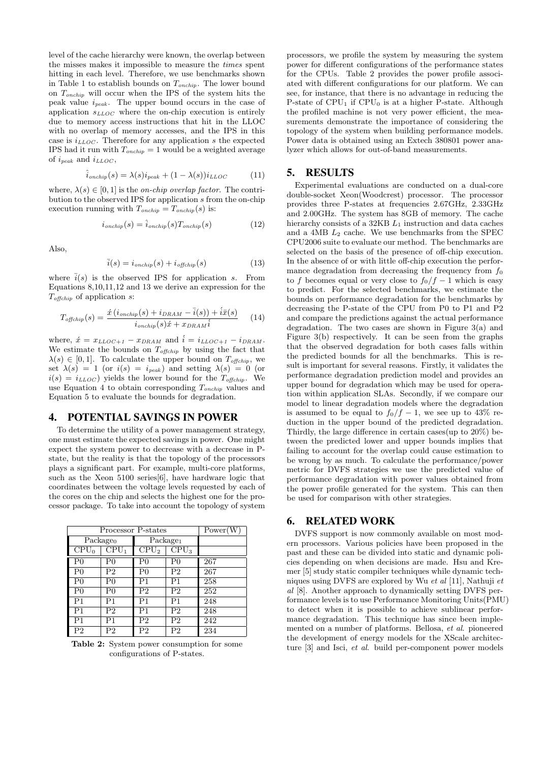level of the cache hierarchy were known, the overlap between the misses makes it impossible to measure the times spent hitting in each level. Therefore, we use benchmarks shown in Table 1 to establish bounds on  $T_{onchip}$ . The lower bound on  $T_{onchip}$  will occur when the IPS of the system hits the peak value  $i_{peak}$ . The upper bound occurs in the case of application  $s_{LLOC}$  where the on-chip execution is entirely due to memory access instructions that hit in the LLOC with no overlap of memory accesses, and the IPS in this case is  $i_{LLOC}$ . Therefore for any application s the expected IPS had it run with  $T_{onchip} = 1$  would be a weighted average of  $i_{peak}$  and  $i_{LLOC}$ ,

$$
\hat{i}_{\text{onchip}}(s) = \lambda(s)i_{\text{peak}} + (1 - \lambda(s))i_{\text{LLOC}} \tag{11}
$$

where,  $\lambda(s) \in [0, 1]$  is the *on-chip overlap factor*. The contribution to the observed IPS for application s from the on-chip execution running with  $T_{onchip} = T_{onchip}(s)$  is:

$$
i_{onchip}(s) = \hat{i}_{onchip}(s)T_{onchip}(s)
$$
\n(12)

Also,

$$
\bar{i}(s) = i_{\text{onchip}}(s) + i_{\text{offchip}}(s) \tag{13}
$$

where  $\bar{i}(s)$  is the observed IPS for application s. From Equations 8,10,11,12 and 13 we derive an expression for the  $T_{\text{offchip}}$  of application s:

$$
T_{offchip}(s) = \frac{\acute{x}\left(i_{onchip}(s) + i_{DRAM} - \bar{i}(s)\right) + i\bar{x}(s)}{i_{onchip}(s)\acute{x} + x_{DRAM}\acute{i}} \tag{14}
$$

where,  $\acute{x} = x_{LLOC+1} - x_{DRAM}$  and  $\acute{i} = i_{LLOC+1} - i_{DRAM}$ . We estimate the bounds on  $T_{offchip}$  by using the fact that  $\lambda(s) \in [0,1].$  To calculate the upper bound on  $T_{offchip}$ , we set  $\lambda(s) = 1$  (or  $i(s) = i_{peak}$ ) and setting  $\lambda(s) = 0$  (or  $i(s) = i_{LLOC}$  yields the lower bound for the  $T_{offchip}$ . We use Equation 4 to obtain corresponding  $T_{onchip}$  values and Equation 5 to evaluate the bounds for degradation.

#### 4. POTENTIAL SAVINGS IN POWER

To determine the utility of a power management strategy, one must estimate the expected savings in power. One might expect the system power to decrease with a decrease in Pstate, but the reality is that the topology of the processors plays a significant part. For example, multi-core platforms, such as the Xeon 5100 series[6], have hardware logic that coordinates between the voltage levels requested by each of the cores on the chip and selects the highest one for the processor package. To take into account the topology of system

| Processor P-states | Power(W) |                      |                  |     |
|--------------------|----------|----------------------|------------------|-----|
| $Package_0$        |          | Package <sub>1</sub> |                  |     |
| $\overline{CPU}_0$ | $CPU_1$  | CPU <sub>2</sub>     | CPU <sub>3</sub> |     |
| P0                 | P0       | P <sub>0</sub>       | P0               | 267 |
| P <sub>0</sub>     | P2       | P0                   | P <sub>2</sub>   | 267 |
| P0                 | Pθ       | P1                   | P1               | 258 |
| P0                 | P0       | P <sub>2</sub>       | P <sub>2</sub>   | 252 |
| P <sub>1</sub>     | P1       | P1                   | P <sub>1</sub>   | 248 |
| P <sub>1</sub>     | P2       | P1                   | P <sub>2</sub>   | 248 |
| P1                 | Ρ1       | P2                   | P <sub>2</sub>   | 242 |
| P2                 | P2       | P2                   | P <sub>2</sub>   | 234 |

Table 2: System power consumption for some configurations of P-states.

processors, we profile the system by measuring the system power for different configurations of the performance states for the CPUs. Table 2 provides the power profile associated with different configurations for our platform. We can see, for instance, that there is no advantage in reducing the P-state of  $CPU_1$  if  $CPU_0$  is at a higher P-state. Although the profiled machine is not very power efficient, the measurements demonstrate the importance of considering the topology of the system when building performance models. Power data is obtained using an Extech 380801 power analyzer which allows for out-of-band measurements.

#### 5. RESULTS

Experimental evaluations are conducted on a dual-core double-socket Xeon(Woodcrest) processor. The processor provides three P-states at frequencies 2.67GHz, 2.33GHz and 2.00GHz. The system has 8GB of memory. The cache hierarchy consists of a 32KB  $L_1$  instruction and data caches and a 4MB  $L_2$  cache. We use benchmarks from the SPEC CPU2006 suite to evaluate our method. The benchmarks are selected on the basis of the presence of off-chip execution. In the absence of or with little off-chip execution the performance degradation from decreasing the frequency from  $f_0$ to f becomes equal or very close to  $f_0/f - 1$  which is easy to predict. For the selected benchmarks, we estimate the bounds on performance degradation for the benchmarks by decreasing the P-state of the CPU from P0 to P1 and P2 and compare the predictions against the actual performance degradation. The two cases are shown in Figure 3(a) and Figure 3(b) respectively. It can be seen from the graphs that the observed degradation for both cases falls within the predicted bounds for all the benchmarks. This is result is important for several reasons. Firstly, it validates the performance degradation prediction model and provides an upper bound for degradation which may be used for operation within application SLAs. Secondly, if we compare our model to linear degradation models where the degradation is assumed to be equal to  $f_0/f - 1$ , we see up to 43% reduction in the upper bound of the predicted degradation. Thirdly, the large difference in certain cases(up to 20%) between the predicted lower and upper bounds implies that failing to account for the overlap could cause estimation to be wrong by as much. To calculate the performance/power metric for DVFS strategies we use the predicted value of performance degradation with power values obtained from the power profile generated for the system. This can then be used for comparison with other strategies.

#### 6. RELATED WORK

DVFS support is now commonly available on most modern processors. Various policies have been proposed in the past and these can be divided into static and dynamic policies depending on when decisions are made. Hsu and Kremer [5] study static compiler techniques while dynamic techniques using DVFS are explored by Wu et al [11], Nathuji et al [8]. Another approach to dynamically setting DVFS performance levels is to use Performance Monitoring Units(PMU) to detect when it is possible to achieve sublinear performance degradation. This technique has since been implemented on a number of platforms. Bellosa, et al. pioneered the development of energy models for the XScale architecture [3] and Isci, et al. build per-component power models